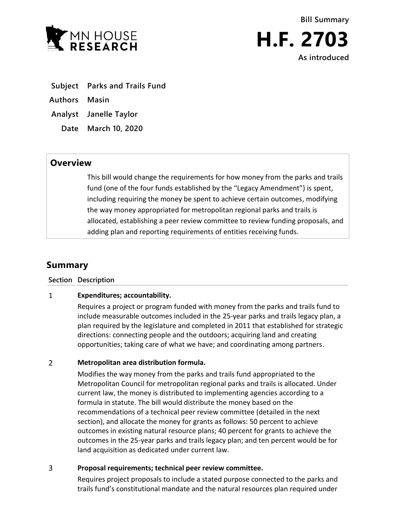

**Bill Summary H.F. 2703 As introduced**

- **Subject Parks and Trails Fund**
- **Authors Masin**
- **Analyst Janelle Taylor**
	- **Date March 10, 2020**

## **Overview**

This bill would change the requirements for how money from the parks and trails fund (one of the four funds established by the "Legacy Amendment") is spent, including requiring the money be spent to achieve certain outcomes, modifying the way money appropriated for metropolitan regional parks and trails is allocated, establishing a peer review committee to review funding proposals, and adding plan and reporting requirements of entities receiving funds.

# **Summary**

**Section Description**

#### $\mathbf{1}$ **Expenditures; accountability.**

Requires a project or program funded with money from the parks and trails fund to include measurable outcomes included in the 25-year parks and trails legacy plan, a plan required by the legislature and completed in 2011 that established for strategic directions: connecting people and the outdoors; acquiring land and creating opportunities; taking care of what we have; and coordinating among partners.

#### $\overline{2}$ **Metropolitan area distribution formula.**

Modifies the way money from the parks and trails fund appropriated to the Metropolitan Council for metropolitan regional parks and trails is allocated. Under current law, the money is distributed to implementing agencies according to a formula in statute. The bill would distribute the money based on the recommendations of a technical peer review committee (detailed in the next section), and allocate the money for grants as follows: 50 percent to achieve outcomes in existing natural resource plans; 40 percent for grants to achieve the outcomes in the 25-year parks and trails legacy plan; and ten percent would be for land acquisition as dedicated under current law.

#### $\overline{3}$ **Proposal requirements; technical peer review committee.**

Requires project proposals to include a stated purpose connected to the parks and trails fund's constitutional mandate and the natural resources plan required under